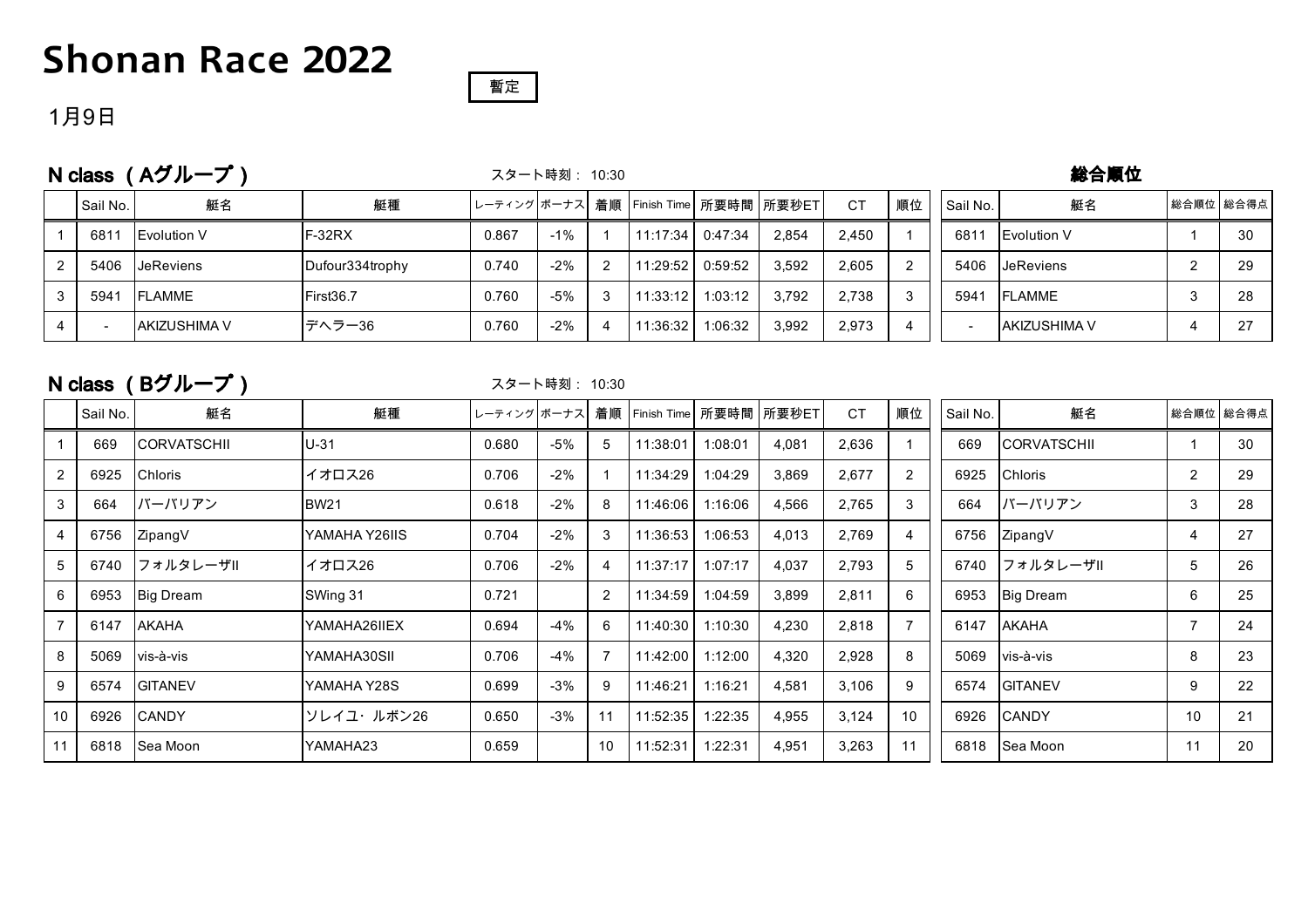## **Shonan Race 2022**



### 1月9日

N class (Aグループ)

#### スタート時刻: 10:30

#### 総合順位

|   | Sail No. | 艇名                  | 艇種              |       |        |   | レーティング ボーナス   着順   Finish Time   所要時間   所要秒ET |         |       | СT    | 順位 | Sail No.      | 艇名                   | 総合順位 総合得点 |    |
|---|----------|---------------------|-----------------|-------|--------|---|-----------------------------------------------|---------|-------|-------|----|---------------|----------------------|-----------|----|
|   | 6811     | <b>Evolution V</b>  | $F-32RX$        | 0.867 | $-1\%$ |   | 11:17:34                                      | 0:47:34 | 2.854 | 2.450 |    | 681           | Evolution V          |           | 30 |
|   | 5406     | <b>IJeReviens</b>   | Dufour334trophy | 0.740 | $-2\%$ | 2 | 11:29:52丨                                     | 0:59:52 | 3.592 | 2,605 |    | 5406          | <b>JeReviens</b>     |           | 29 |
|   | 5941     | <b>FLAMME</b>       | First36.7       | 0.760 | $-5%$  |   | 11:33:12                                      | 1:03:12 | 3.792 | 2.738 |    | $594^{\circ}$ | <b>FLAMME</b>        |           | 28 |
| 4 |          | <b>AKIZUSHIMA V</b> | デヘラー36          | 0.760 | $-2\%$ |   | 11:36:32                                      | 1:06:32 | 3.992 | 2,973 |    |               | <b>JAKIZUSHIMA V</b> |           | 27 |

### N class (Bグループ)

#### スタート時刻: 10:30

|    | Sail No. | 艇名               | 艇種            | レーティング ボーナス |        |                |          |         | 着順   Finish Time   所要時間   所要秒ET | <b>CT</b> | 順位 | Sail No. | 艇名                 |    | 総合順位 総合得点 |
|----|----------|------------------|---------------|-------------|--------|----------------|----------|---------|---------------------------------|-----------|----|----------|--------------------|----|-----------|
|    | 669      | ICORVATSCHII     | $U-31$        | 0.680       | -5%    | 5              | 11:38:01 | 1:08:01 | 4,081                           | 2,636     |    | 669      | <b>CORVATSCHII</b> |    | 30        |
| 2  | 6925     | <b>Chloris</b>   | イオロス26        | 0.706       | $-2\%$ | $\mathbf 1$    | 11:34:29 | 1:04:29 | 3,869                           | 2,677     | 2  | 6925     | Chloris            | 2  | 29        |
| 3  | 664      | バーバリアン           | <b>BW21</b>   | 0.618       | $-2\%$ | 8              | 11:46:06 | 1:16:06 | 4,566                           | 2,765     | 3  | 664      | バーバリアン             | 3  | 28        |
| 4  | 6756     | ZipangV          | YAMAHA Y26IIS | 0.704       | $-2\%$ | 3              | 11:36:53 | 1:06:53 | 4,013                           | 2,769     | 4  | 6756     | ZipangV            |    | 27        |
| 5  | 6740     | フォルタレーザⅡ         | イオロス26        | 0.706       | $-2\%$ | 4              | 11:37:17 | 1:07:17 | 4,037                           | 2,793     | 5  | 6740     | フォルタレーザⅡ           | 5  | 26        |
| 6  | 6953     | <b>Big Dream</b> | SWing 31      | 0.721       |        | 2              | 11:34:59 | 1:04:59 | 3,899                           | 2,811     | 6  | 6953     | Big Dream          | 6  | 25        |
|    | 6147     | <b>AKAHA</b>     | YAMAHA26IIEX  | 0.694       | -4%    | 6              | 11:40:30 | 1:10:30 | 4,230                           | 2,818     |    | 6147     | <b>AKAHA</b>       |    | 24        |
| 8  | 5069     | vis-à-vis        | YAMAHA30SII   | 0.706       | -4%    | $\overline{7}$ | 11:42:00 | 1:12:00 | 4,320                           | 2,928     | 8  | 5069     | vis-à-vis          | 8  | 23        |
| 9  | 6574     | <b>GITANEV</b>   | YAMAHA Y28S   | 0.699       | $-3%$  | 9              | 11:46:21 | 1:16:21 | 4,581                           | 3,106     | 9  | 6574     | <b>GITANEV</b>     | 9  | 22        |
| 10 | 6926     | <b>CANDY</b>     | ソレイユ・ルボン26    | 0.650       | -3%    | 11             | 11:52:35 | 1:22:35 | 4,955                           | 3,124     | 10 | 6926     | <b>CANDY</b>       | 10 | 21        |
|    | 6818     | Sea Moon         | YAMAHA23      | 0.659       |        | 10             | 11:52:31 | 1:22:31 | 4,951                           | 3,263     | 11 | 6818     | Sea Moon           | 11 | 20        |